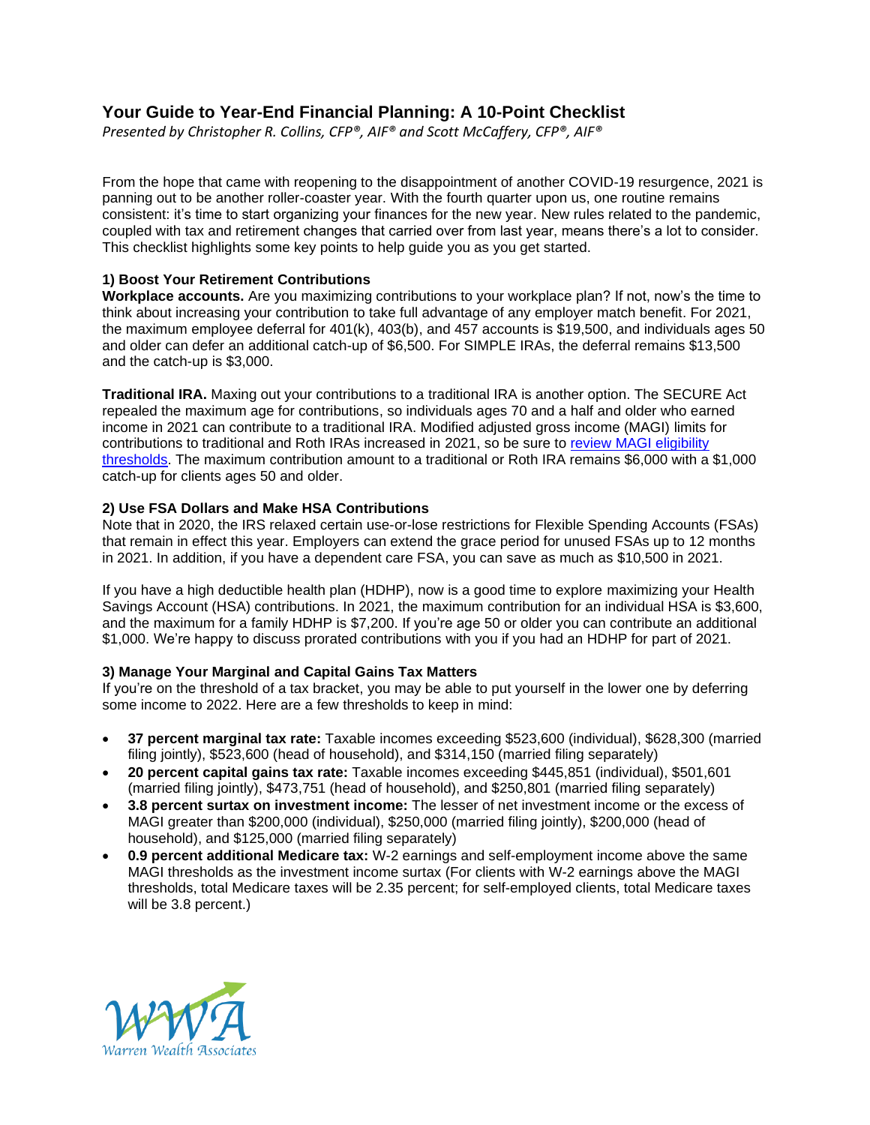# **Your Guide to Year-End Financial Planning: A 10-Point Checklist**

*Presented by Christopher R. Collins, CFP®, AIF® and Scott McCaffery, CFP®, AIF®*

From the hope that came with reopening to the disappointment of another COVID-19 resurgence, 2021 is panning out to be another roller-coaster year. With the fourth quarter upon us, one routine remains consistent: it's time to start organizing your finances for the new year. New rules related to the pandemic, coupled with tax and retirement changes that carried over from last year, means there's a lot to consider. This checklist highlights some key points to help guide you as you get started.

## **1) Boost Your Retirement Contributions**

**Workplace accounts.** Are you maximizing contributions to your workplace plan? If not, now's the time to think about increasing your contribution to take full advantage of any employer match benefit. For 2021, the maximum employee deferral for 401(k), 403(b), and 457 accounts is \$19,500, and individuals ages 50 and older can defer an additional catch-up of \$6,500. For SIMPLE IRAs, the deferral remains \$13,500 and the catch-up is \$3,000.

**Traditional IRA.** Maxing out your contributions to a traditional IRA is another option. The SECURE Act repealed the maximum age for contributions, so individuals ages 70 and a half and older who earned income in 2021 can contribute to a traditional IRA. Modified adjusted gross income (MAGI) limits for contributions to traditional and Roth IRAs increased in 2021, so be sure to [review MAGI eligibility](https://www.medicaid.gov/medicaid/eligibility/index.html)  [thresholds.](https://www.medicaid.gov/medicaid/eligibility/index.html) The maximum contribution amount to a traditional or Roth IRA remains \$6,000 with a \$1,000 catch-up for clients ages 50 and older.

# **2) Use FSA Dollars and Make HSA Contributions**

Note that in 2020, the IRS relaxed certain use-or-lose restrictions for Flexible Spending Accounts (FSAs) that remain in effect this year. Employers can extend the grace period for unused FSAs up to 12 months in 2021. In addition, if you have a dependent care FSA, you can save as much as \$10,500 in 2021.

If you have a high deductible health plan (HDHP), now is a good time to explore maximizing your Health Savings Account (HSA) contributions. In 2021, the maximum contribution for an individual HSA is \$3,600, and the maximum for a family HDHP is \$7,200. If you're age 50 or older you can contribute an additional \$1,000. We're happy to discuss prorated contributions with you if you had an HDHP for part of 2021.

## **3) Manage Your Marginal and Capital Gains Tax Matters**

If you're on the threshold of a tax bracket, you may be able to put yourself in the lower one by deferring some income to 2022. Here are a few thresholds to keep in mind:

- **37 percent marginal tax rate:** Taxable incomes exceeding \$523,600 (individual), \$628,300 (married filing jointly), \$523,600 (head of household), and \$314,150 (married filing separately)
- **20 percent capital gains tax rate:** Taxable incomes exceeding \$445,851 (individual), \$501,601 (married filing jointly), \$473,751 (head of household), and \$250,801 (married filing separately)
- **3.8 percent surtax on investment income:** The lesser of net investment income or the excess of MAGI greater than \$200,000 (individual), \$250,000 (married filing jointly), \$200,000 (head of household), and \$125,000 (married filing separately)
- **0.9 percent additional Medicare tax:** W-2 earnings and self-employment income above the same MAGI thresholds as the investment income surtax (For clients with W-2 earnings above the MAGI thresholds, total Medicare taxes will be 2.35 percent; for self-employed clients, total Medicare taxes will be 3.8 percent.)

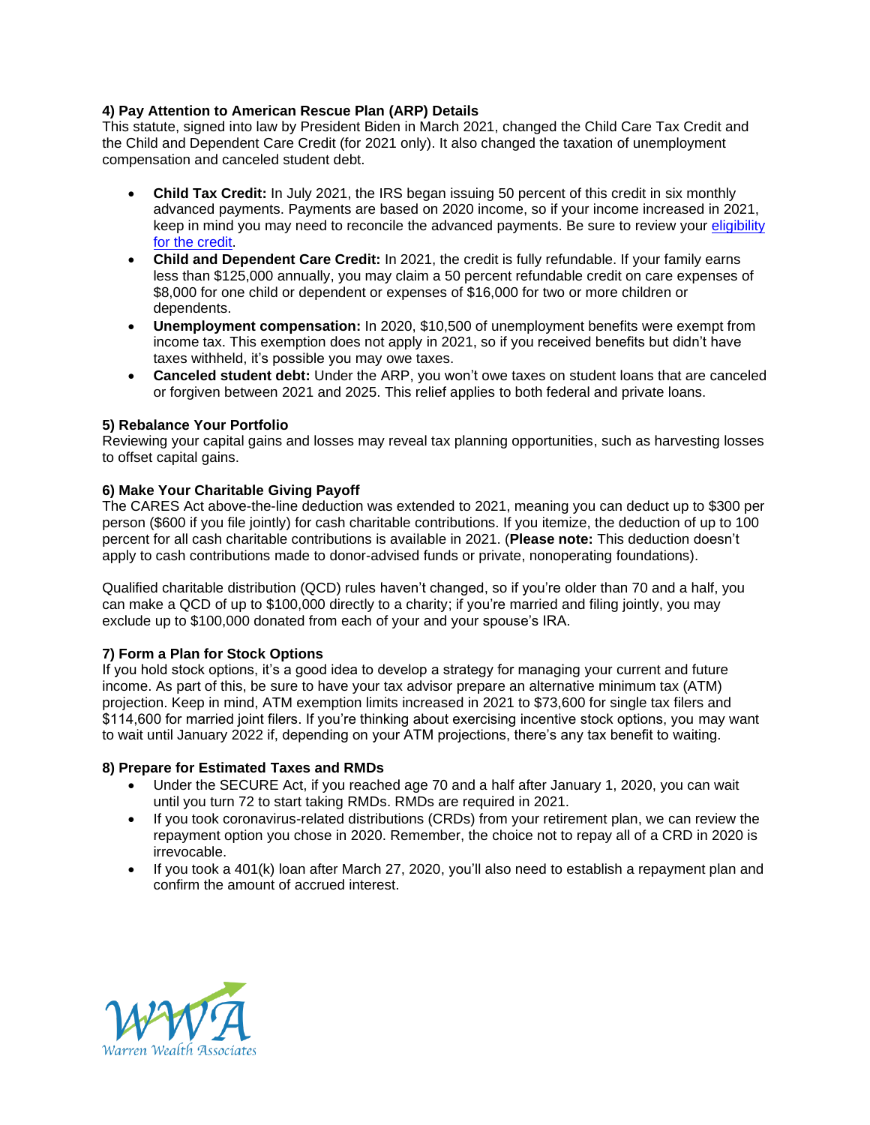## **4) Pay Attention to American Rescue Plan (ARP) Details**

This statute, signed into law by President Biden in March 2021, changed the Child Care Tax Credit and the Child and Dependent Care Credit (for 2021 only). It also changed the taxation of unemployment compensation and canceled student debt.

- **Child Tax Credit:** In July 2021, the IRS began issuing 50 percent of this credit in six monthly advanced payments. Payments are based on 2020 income, so if your income increased in 2021, keep in mind you may need to reconcile the advanced payments. Be sure to review your [eligibility](https://www.irs.gov/credits-deductions/advance-child-tax-credit-payments-in-2021) for the [credit.](https://www.irs.gov/credits-deductions/advance-child-tax-credit-payments-in-2021)
- **Child and Dependent Care Credit:** In 2021, the credit is fully refundable. If your family earns less than \$125,000 annually, you may claim a 50 percent refundable credit on care expenses of \$8,000 for one child or dependent or expenses of \$16,000 for two or more children or dependents.
- **Unemployment compensation:** In 2020, \$10,500 of unemployment benefits were exempt from income tax. This exemption does not apply in 2021, so if you received benefits but didn't have taxes withheld, it's possible you may owe taxes.
- **Canceled student debt:** Under the ARP, you won't owe taxes on student loans that are canceled or forgiven between 2021 and 2025. This relief applies to both federal and private loans.

## **5) Rebalance Your Portfolio**

Reviewing your capital gains and losses may reveal tax planning opportunities, such as harvesting losses to offset capital gains.

## **6) Make Your Charitable Giving Payoff**

The CARES Act above-the-line deduction was extended to 2021, meaning you can deduct up to \$300 per person (\$600 if you file jointly) for cash charitable contributions. If you itemize, the deduction of up to 100 percent for all cash charitable contributions is available in 2021. (**Please note:** This deduction doesn't apply to cash contributions made to donor-advised funds or private, nonoperating foundations).

Qualified charitable distribution (QCD) rules haven't changed, so if you're older than 70 and a half, you can make a QCD of up to \$100,000 directly to a charity; if you're married and filing jointly, you may exclude up to \$100,000 donated from each of your and your spouse's IRA.

## **7) Form a Plan for Stock Options**

If you hold stock options, it's a good idea to develop a strategy for managing your current and future income. As part of this, be sure to have your tax advisor prepare an alternative minimum tax (ATM) projection. Keep in mind, ATM exemption limits increased in 2021 to \$73,600 for single tax filers and \$114,600 for married joint filers. If you're thinking about exercising incentive stock options, you may want to wait until January 2022 if, depending on your ATM projections, there's any tax benefit to waiting.

## **8) Prepare for Estimated Taxes and RMDs**

- Under the SECURE Act, if you reached age 70 and a half after January 1, 2020, you can wait until you turn 72 to start taking RMDs. RMDs are required in 2021.
- If you took coronavirus-related distributions (CRDs) from your retirement plan, we can review the repayment option you chose in 2020. Remember, the choice not to repay all of a CRD in 2020 is irrevocable.
- If you took a 401(k) loan after March 27, 2020, you'll also need to establish a repayment plan and confirm the amount of accrued interest.